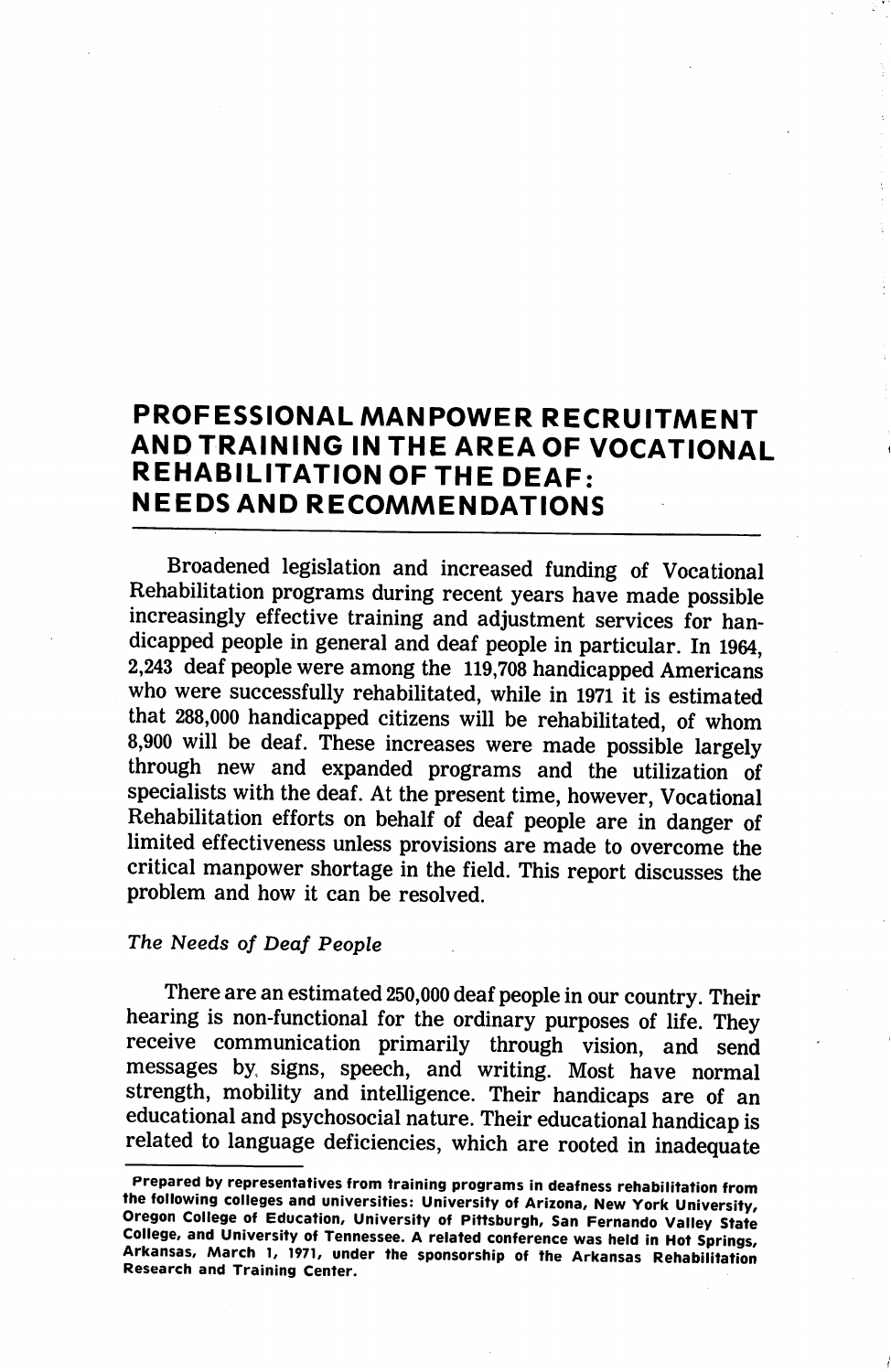# PROFESSIONAL MANPOWER RECRUITMENT ANDTRAINING IN THE AREA OF VOCATIONAL REHABILITATION OF THE DEAF: NEEDS AND RECOMMENDATIONS

Broadened legislation and increased funding of Vocational Rehabilitation programs during recent years have made possible increasingly effective training and adjustment services for han dicapped people in general and deaf people in particular. In 1964, 2,243 deaf people were among the 119,708 handicapped Americans who were successfully rehabilitated, while in 1971 it is estimated that 288,000 handicapped citizens will be rehabilitated, of whom 8,900 will be deaf. These increases were made possible largely through new and expanded programs and the utilization of specialists with the deaf. At the present time, however. Vocational Rehabilitation efforts on behalf of deaf people are in danger of limited effectiveness unless provisions are made to overcome the critical manpower shortage in the field. This report discusses the problem and how it can be resolved.

#### The Needs of Deaf People

There are an estimated 250,000 deaf people in our country. Their hearing is non-functional for the ordinary purposes of life. They receive communication primarily through vision, and send messages by signs, speech, and writing. Most have normal strength, mobility and intelligence. Their handicaps are of an educational and psychosocial nature. Their educational handicap is related to language deficiencies, which are rooted in inadequate

Prepared by representatives from training programs in deafness rehabilitation from the following colleges and universities: University of Arizona, New York University, Oregon College of Education, University of Pittsburgh, San Fernando Valley State College, and University of Tennessee. A related conference was held in Hot Springs, Arkansas, March 1, 1971, under the sponsorship of the Arkansas Rehabilitation Research and Training Center.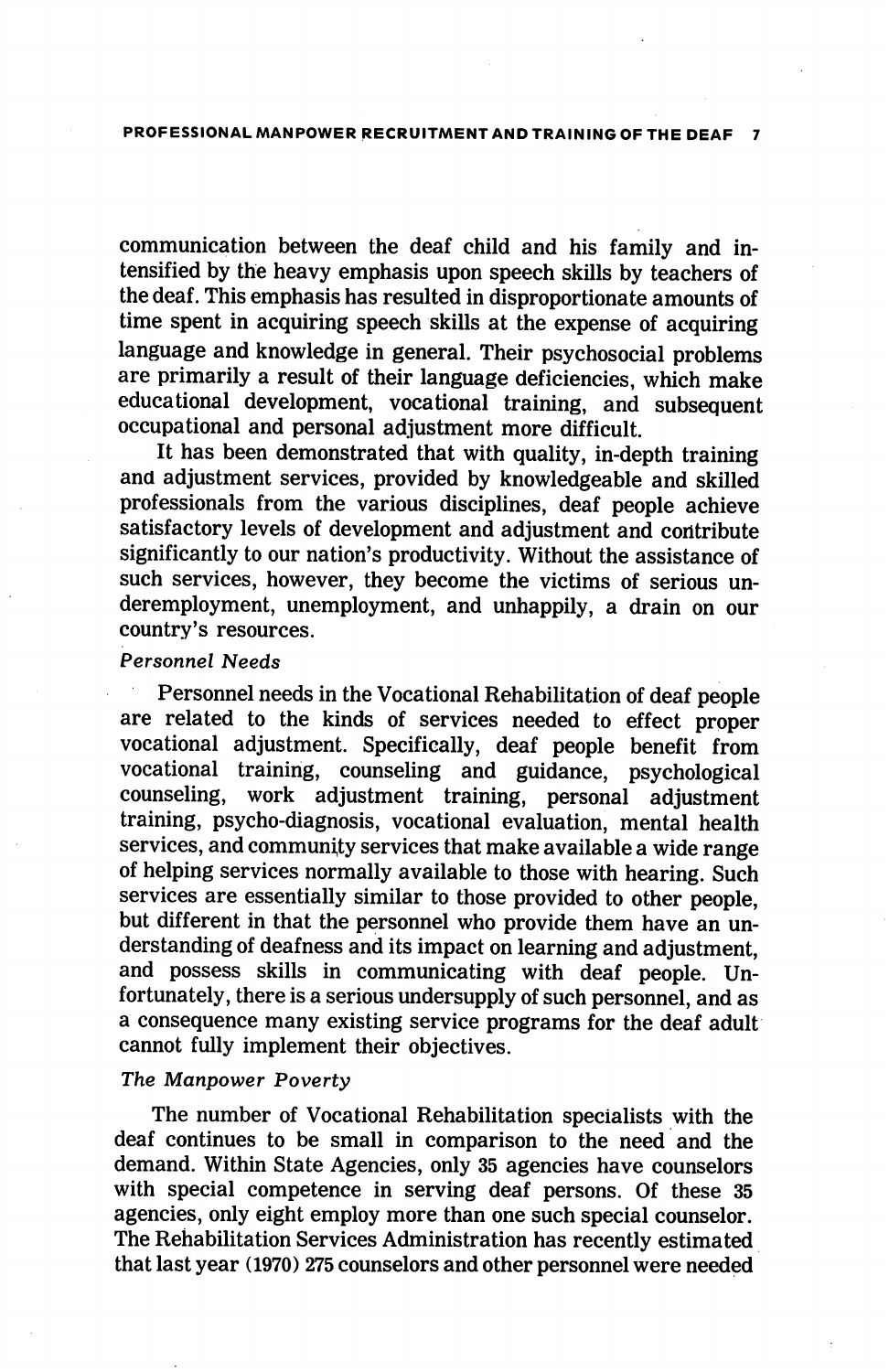communication between the deaf child and his family and in tensified by the heavy emphasis upon speech skills by teachers of the deaf. This emphasis has resulted in disproportionate amounts of time spent in acquiring speech skills at the expense of acquiring language and knowledge in general. Their psychosocial problems are primarily a result of their language deficiencies, which make educational development, vocational training, and subsequent occupational and personal adjustment more difficult.

It has been demonstrated that with quality, in-depth training and adjustment services, provided by knowledgeable and skilled professionals from the various disciplines, deaf people achieve satisfactory levels of development and adjustment and contribute significantly to our nation's productivity. Without the assistance of such services, however, they become the victims of serious un deremployment, unemployment, and unhappily, a drain on our country's resources.

#### Personnel Needs

Personnel needs in the Vocational Rehabilitation of deaf people are related to the kinds of services needed to effect proper vocational adjustment. Specifically, deaf people benefit from vocational training, counseling and guidance, psychological counseling, work adjustment training, personal adjustment training, psycho-diagnosis, vocational evaluation, mental health services, and community services that make available a wide range of helping services normally available to those with hearing. Such services are essentially similar to those provided to other people, but different in that the personnel who provide them have an un derstanding of deafness and its impact on learning and adjustment, and possess skills in communicating with deaf people. Un fortunately, there is a serious undersupply of such personnel, and as a consequence many existing service programs for the deaf adult cannot fully implement their objectives.

#### The Manpower Poverty

The number of Vocational Rehabilitation specialists with the deaf continues to be small in comparison to the need and the demand. Within State Agencies, only 35 agencies have counselors with special competence in serving deaf persons. Of these 35 agencies, only eight employ more than one such special counselor. The Rehabilitation Services Administration has recently estimated that last year (1970) 275 counselors and other personnel were needed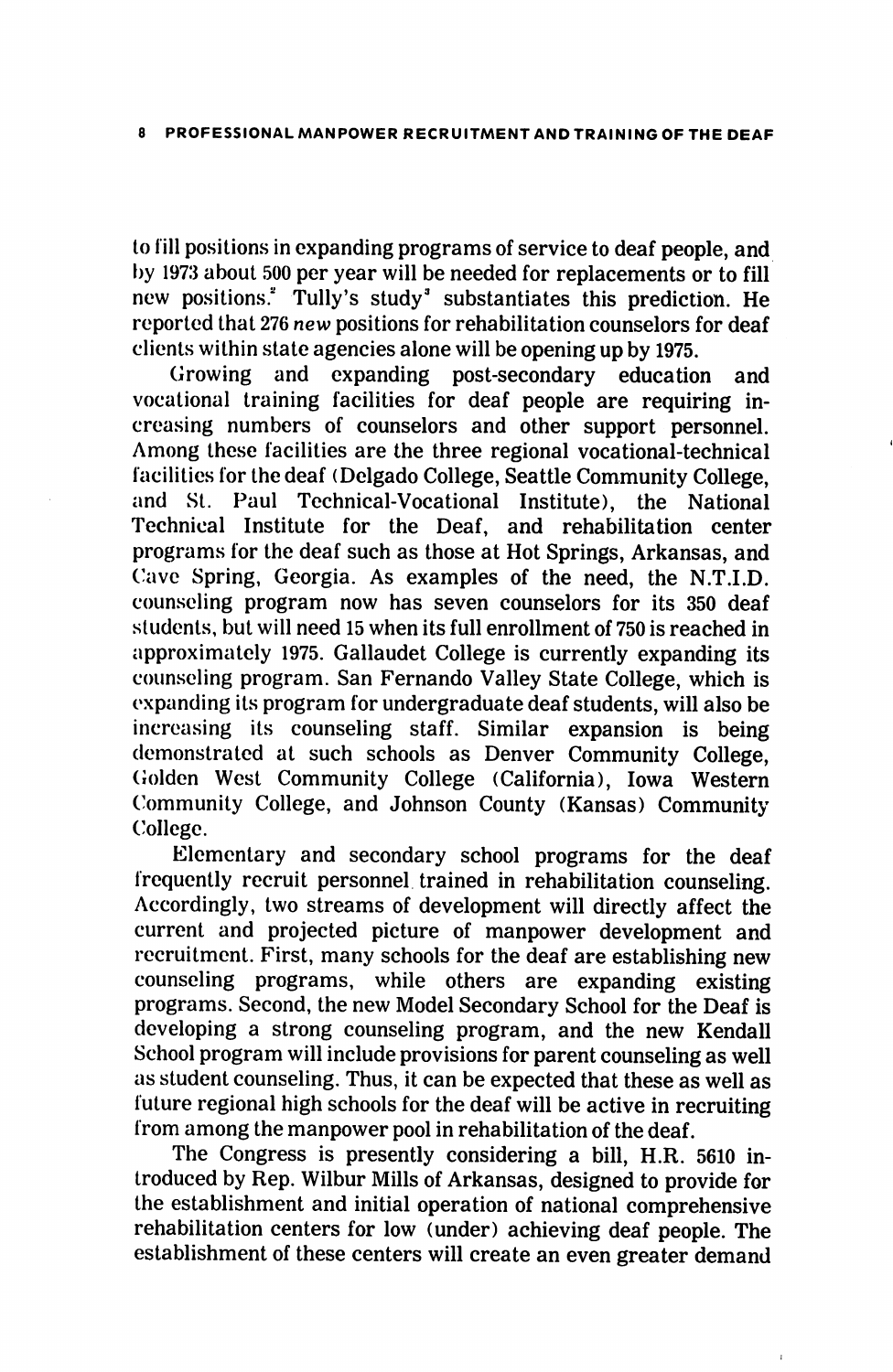to fill posilions in expanding programs of service to deaf people, and l)y 1973 about 500 per year will be needed for replacements or to fill new positions." Tully's study" substantiates this prediction. He reported that 276 new positions for rehabilitation counselors for deaf clients within state agencies alone will be opening up by 1975.

Growing and expanding post-secondary education and vocational training facilities for deaf people are requiring in creasing numbers of counselors and other support personnel. Among these facilities are the three regional vocational-technical facilities for the deaf (Delgado College, Seattle Community College, and St. Paul Technical-Vocational Institute), the National Technical Institute for the Deaf, and rehabilitation center programs for the deaf such as those at Hot Springs, Arkansas, and ('ave Spring, Georgia. As examples of the need, the N.T.I.D. counseling program now has seven counselors for its 350 deaf students, but will need 15 when its full enrollment of 750 is reached in approximately 1975. Gallaudet College is currently expanding its counseling program. San Fernando Valley State College, which is expanding its program for undergraduate deaf students, will also be increasing its counseling staff. Similar expansion is being demonstrated at such schools as Denver Community College, Golden West Community College (California), Iowa Western Community College, and Johnson County (Kansas) Community College.

Elementary and secondary school programs for the deaf frequently recruit personnel trained in rehabilitation counseling. Accordingly, two streams of development will directly affect the current and projected picture of manpower development and recruitment. First, many schools for the deaf are establishing new counseling programs, while others are expanding existing programs. Second, the new Model Secondary School for the Deaf is developing a strong counseling program, and the new Kendall School program will include provisions for parent counseling as well as student counseling. Thus, it can be expected that these as well as future regional high schools for the deaf will be active in recruiting from among the manpower pool in rehabilitation of the deaf.

The Congress is presently considering a bill, H.R. 5610 in troduced by Rep. Wilbur Mills of Arkansas, designed to provide for the establishment and initial operation of national comprehensive rehabilitation centers for low (under) achieving deaf people. The establishment of these centers will create an even greater demand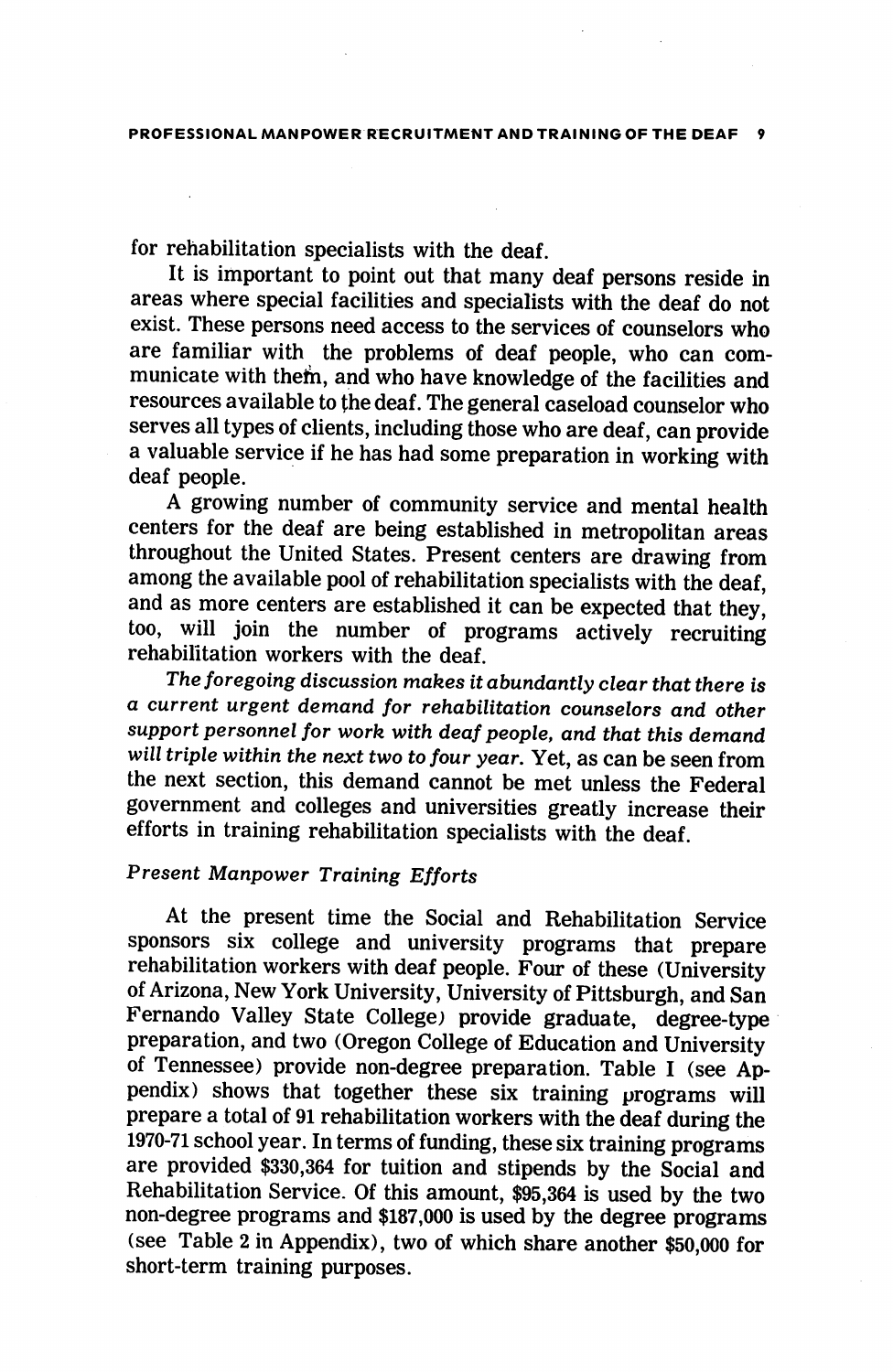for rehabilitation specialists with the deaf.

It is important to point out that many deaf persons reside in areas where special facilities and specialists with the deaf do not exist. These persons need access to the services of counselors who are familiar with the problems of deaf people, who can com municate with them, and who have knowledge of the facilities and resources available to fhe deaf. The general caseload counselor who serves all types of clients, including those who are deaf, can provide a valuable service if he has had some preparation in working with deaf people.

A growing number of community service and mental health centers for the deaf are being established in metropolitan areas throughout the United States. Present centers are drawing from among the available pool of rehabilitation specialists with the deaf, and as more centers are established it can be expected that they, too, will join the number of programs actively recruiting rehabilitation workers with the deaf.

The foregoing discussion makes it abundantly clear that there is a current urgent demand for rehabilitation counselors and other support personnel for work with deaf people, and that this demand will triple within the next two to four year. Yet, as can be seen from the next section, this demand cannot be met unless the Federal government and colleges and universities greatly increase their efforts in training rehabilitation specialists with the deaf.

# Present Manpower Training Efforts

At the present time the Social and Rehabilitation Service sponsors six college and university programs that prepare rehabilitation workers with deaf people. Four of these (University of Arizona, New York University, University of Pittsburgh, and San Fernando Valley State College) provide graduate, degree-type preparation, and two (Oregon College of Education and University of Tennessee) provide non-degree preparation. Table I (see Ap pendix) shows that together these six training programs will prepare a total of 91 rehabilitation workers with the deaf during the 1970-71 school year. In terms of funding, these six training programs are provided \$330,364 for tuition and stipends by the Social and Rehabilitation Service. Of this amount, \$95,364 is used by the two non-degree programs and \$187,000 is used by the degree programs (see Table 2 in Appendix), two of which share another \$50,000 for short-term training purposes.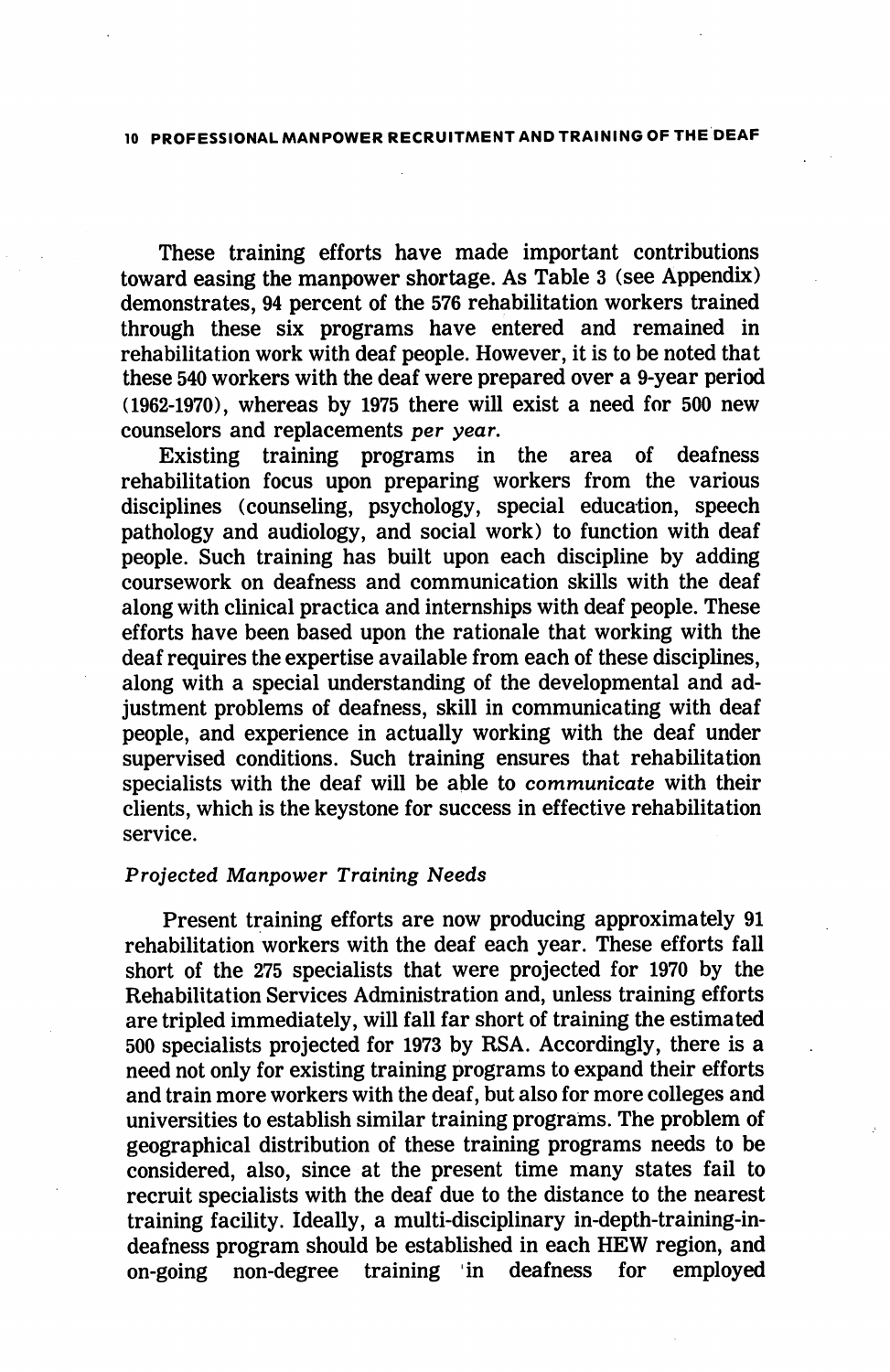# 10 PROFESSIONAL MANPOWER RECRUITMENT AND TRAINING OF THE DEAf=

These training efforts have made important contributions toward easing the manpower shortage. As Table 3 (see Appendix) demonstrates, 94 percent of the 576 rehabilitation workers trained through these six programs have entered and remained in rehabilitation work with deaf people. However, it is to be noted that these 540 workers with the deaf were prepared over a 9-year period (1962-1970), whereas by 1975 there will exist a need for 500 new counselors and replacements per year.

Existing training programs in the area of deafness rehabilitation focus upon preparing workers from the various disciplines (counseling, psychology, special education, speech pathology and audiology, and social work) to function with deaf people. Such training has built upon each discipline by adding coursework on deafness and communication skills with the deaf along with clinical practica and internships with deaf people. These efforts have been based upon the rationale that working with the deaf requires the expertise available from each of these disciplines, along with a special understanding of the developmental and ad justment problems of deafness, skill in communicating with deaf people, and experience in actually working with the deaf under supervised conditions. Such training ensures that rehabilitation specialists with the deaf will be able to communicate with their clients, which is the keystone for success in effective rehabilitation service.

#### Projected Manpower Training Needs

Present training efforts are now producing approximately 91 rehabilitation workers with the deaf each year. These efforts fall short of the 275 specialists that were projected for 1970 by the Rehabilitation Services Administration and, unless training efforts are tripled immediately, will fall far short of training the estimated 500 specialists projected for 1973 by RSA. Accordingly, there is a need not only for existing training programs to expand their efforts and train more workers with the deaf, but also for more colleges and universities to establish similar training programs. The problem of geographical distribution of these training programs needs to be considered, also, since at the present time many states fail to recruit specialists with the deaf due to the distance to the nearest training facility. Ideally, a multi-disciplinary in-depth-training-indeafness program should be established in each HEW region, and<br>on-going non-degree training in deafness for employed non-degree training in deafness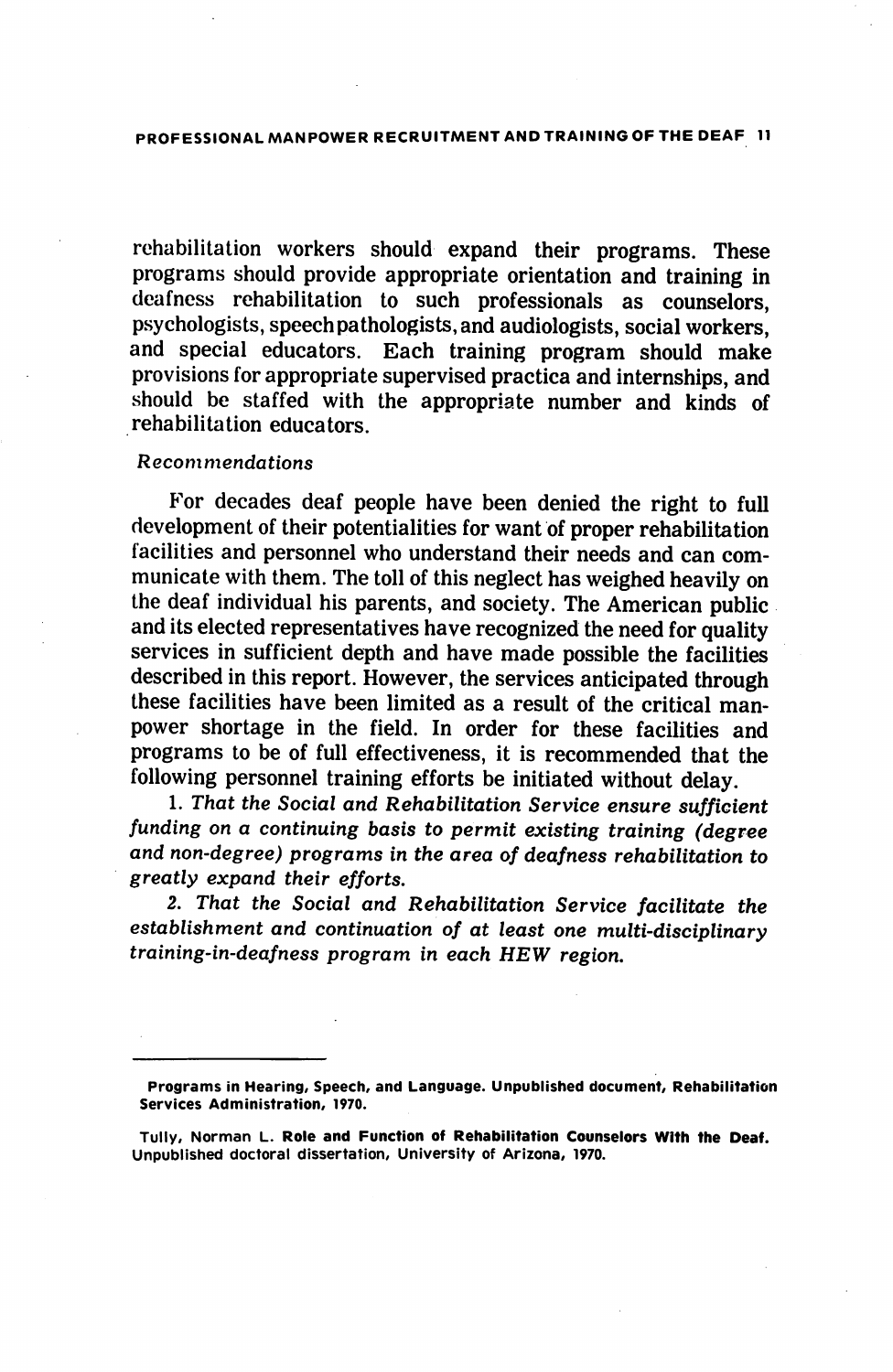PROFESSIONAL MANPOWER RECRUITMENT AND TRAINING OF THE DEAF 11

rehabilitation workers should expand their programs. These programs should provide appropriate orientation and training in deafness rehabilitation to such professionals as counselors, psychologists, speech pathologists, and audiologists, social workers, and special educators. Each training program should make provisions for appropriate supervised practica and internships, and should be staffed with the appropriate number and kinds of rehabilitation educators.

#### Recommendations

For decades deaf people have been denied the right to full development of their potentialities for want of proper rehabilitation facilities and personnel who understand their needs and can com municate with them. The toll of this neglect has weighed heavily on the deaf individual his parents, and society. The American public and its elected representatives have recognized the need for quality services in sufficient depth and have made possible the facilities described in this report. However, the services anticipated through these facilities have been limited as a result of the critical man power shortage in the field. In order for these facilities and programs to be of full effectiveness, it is recommended that the following personnel training efforts be initiated without delay.

1. That the Social and Rehabilitation Service ensure sufficient funding on a continuing basis to permit existing training (degree and non-degree) programs in the area of deafness rehabilitation to greatly expand their efforts.

2. That the Social and Rehabilitation Service facilitate the establishment and continuation of at least one multi-disciplinary training-in-deafness program in each HEW region.

Programs in Hearing, Speech, and Language. Unpublished document. Rehabilitation Services Administration, 1970.

Tully, Norman L. Role and Function of Rehabilitation Counselors With the Deaf. Unpublished doctoral dissertation. University of Arizona, 1970.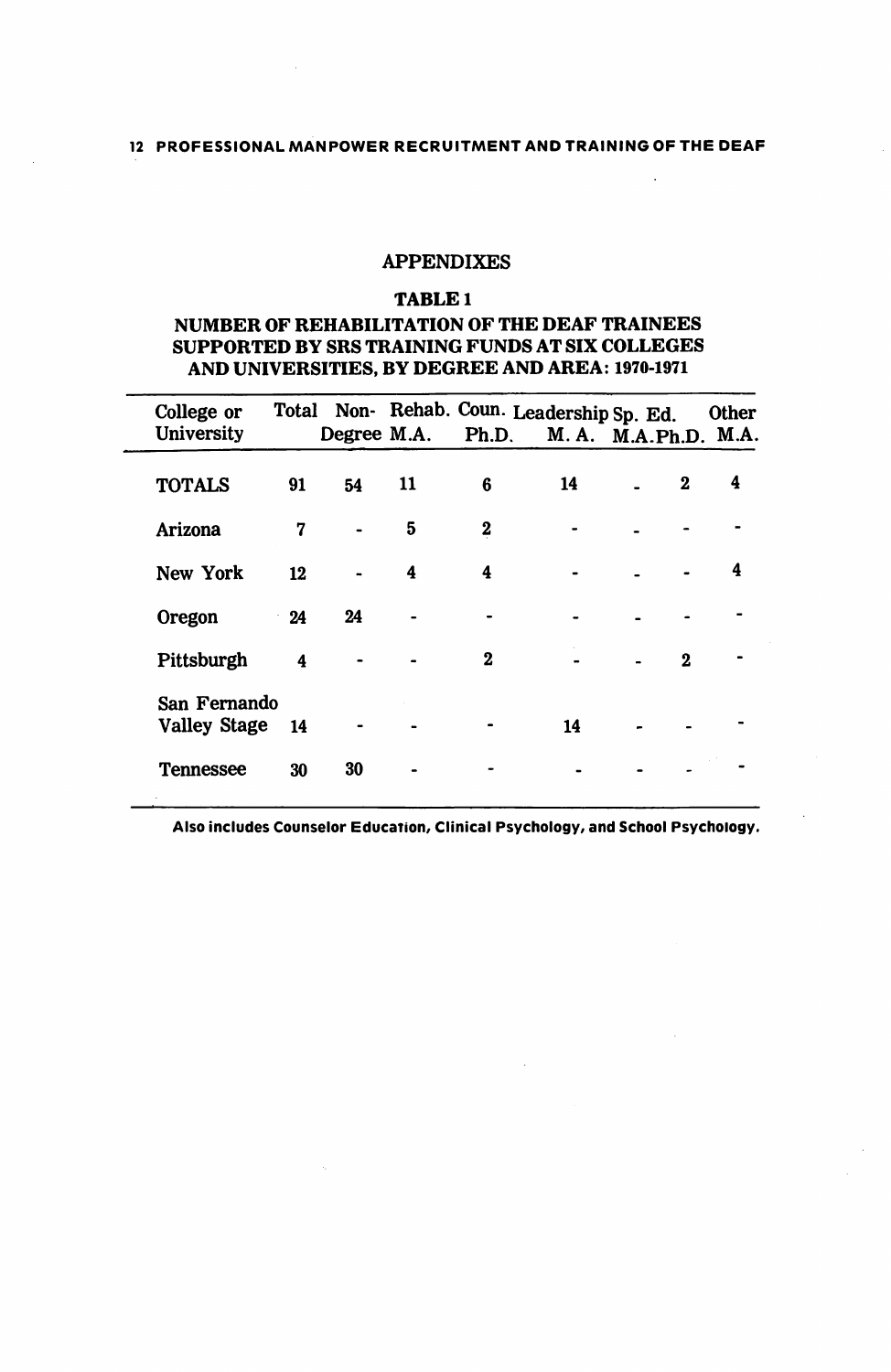# APPENDIXES

#### TABLE 1

### NUMBER OF REHABILITATION OF THE DEAF TRAINEES SUPPORTED BY SRS TRAINING FUNDS AT SIX COLLEGES AND UNIVERSITIES, BY DEGREE AND AREA: 1970-1971

| College or<br><b>University</b>     |           |    |    | Total Non-Rehab. Coun. Leadership Sp. Ed.<br>Degree M.A. Ph.D. M.A. M.A.Ph.D. M.A. |    |              | <b>Other</b> |
|-------------------------------------|-----------|----|----|------------------------------------------------------------------------------------|----|--------------|--------------|
| <b>TOTALS</b>                       | 91        | 54 | 11 | 6                                                                                  | 14 | $\mathbf{2}$ | 4            |
| Arizona                             | 7         |    | 5  | 2                                                                                  |    |              |              |
| New York                            | 12        |    | 4  | 4                                                                                  |    |              | 4            |
| Oregon                              | $-24$     | 24 |    |                                                                                    |    |              |              |
| Pittsburgh                          | 4         |    |    | 2                                                                                  |    | $\mathbf{2}$ |              |
| San Fernando<br><b>Valley Stage</b> | <b>14</b> |    |    |                                                                                    | 14 |              |              |
| <b>Tennessee</b>                    | 30        | 30 |    |                                                                                    |    |              |              |

Also includes Counselor Education, Clinical Psychology, and School Psychology.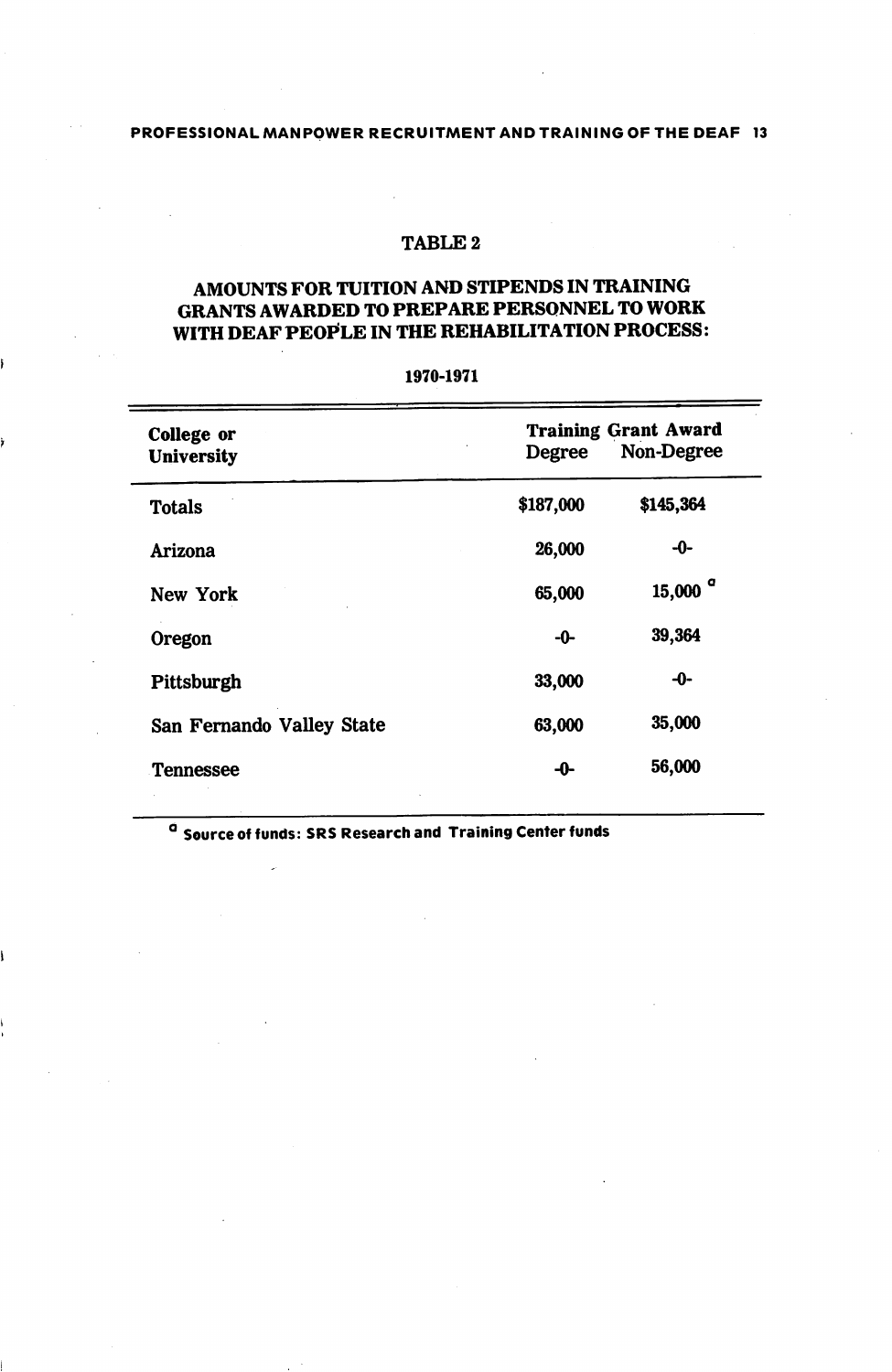# TABLE 2

# AMOUNTS FOR TUITION AND STIPENDS IN TRAINING GRANTS AWARDED TO PREPARE PERSONNEL TO WORK WITH DEAF PEOPLE IN THE REHABILITATION PROCESS:

| College or                | <b>Training Grant Award</b> |                       |  |  |
|---------------------------|-----------------------------|-----------------------|--|--|
| <b>University</b>         | Degree                      | Non-Degree            |  |  |
| <b>Totals</b>             | \$187,000                   | \$145,364             |  |  |
| Arizona                   | 26,000                      | -0-                   |  |  |
| New York                  | 65,000                      | $15,000$ <sup>a</sup> |  |  |
| Oregon                    | -0-                         | 39,364                |  |  |
| Pittsburgh                | 33,000                      | -0-                   |  |  |
| San Fernando Valley State | 63,000                      | 35,000                |  |  |
| <b>Tennessee</b>          | -0-                         | 56,000                |  |  |

1970-1971

<sup>G</sup> Source of funds: SRS Research and Training Center funds